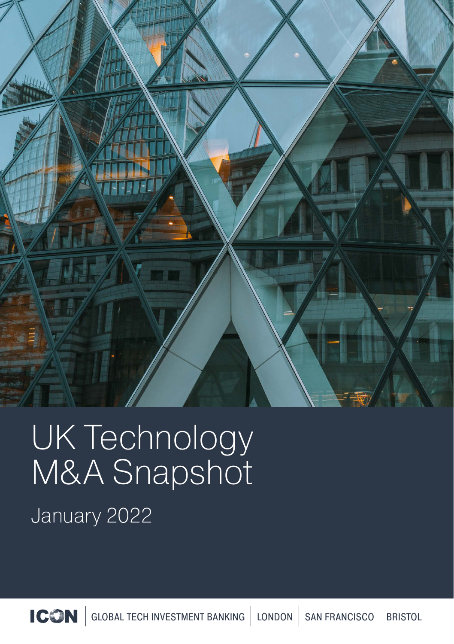

### UK Technology M&A Snapshot

January 2022

ICON GLOBAL TECH INVESTMENT BANKING | LONDON | SAN FRANCISCO | BRISTOL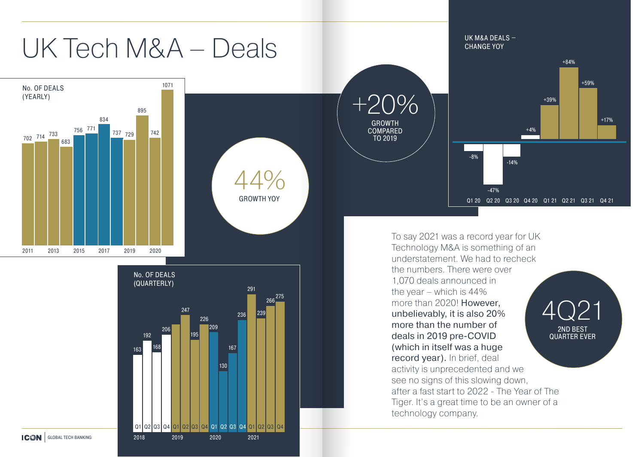

**ICON** GLOBAL TECH BANKING

2018 2019 2020 2021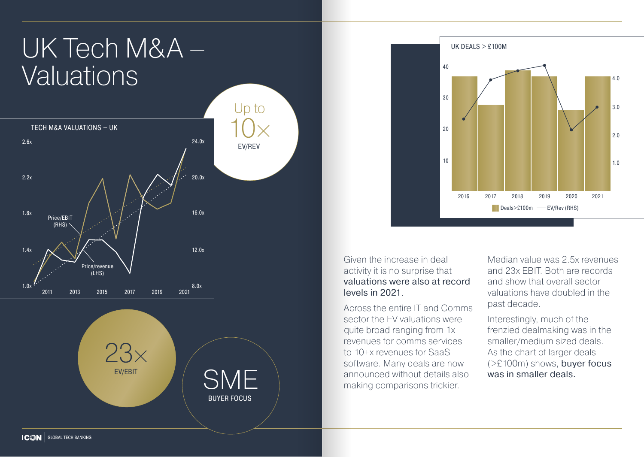#### UK Tech M&A – Valuations



 $23x$ EV/EBIT



SME

BUYER FOCUS

Given the increase in deal activity it is no surprise that valuations were also at record levels in 2021.

Across the entire IT and Comms sector the EV valuations were quite broad ranging from 1x revenues for comms services to 10+x revenues for SaaS software. Many deals are now announced without details also making comparisons trickier.



Median value was 2.5x revenues and 23x EBIT. Both are records and show that overall sector valuations have doubled in the past decade.

Interestingly, much of the frenzied dealmaking was in the smaller/medium sized deals. As the chart of larger deals (>£100m) shows, buyer focus was in smaller deals.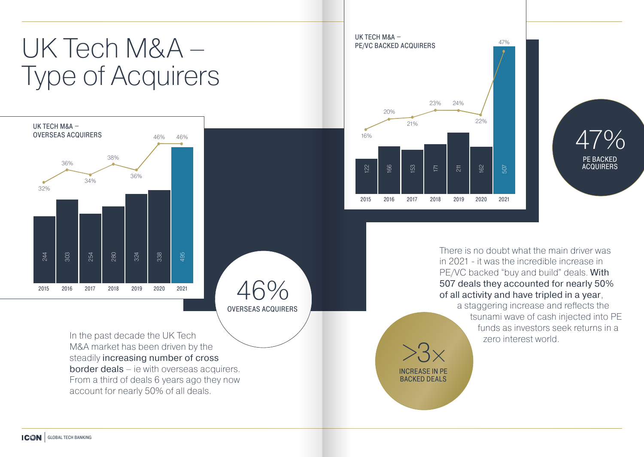## UK Tech M&A – Type of Acquirers



20% 21% 23% 24% 22% 122 153  $\overline{17}$  $\overline{21}$ 162 507 16%

2015 2016 2017 2018 2019 2020 2021

UK TECH M&A –

PE/VC BACKED ACQUIRERS

>3×

INCREASE IN PE BACKED DEALS

47% PE BACKED ACQUIRERS

There is no doubt what the main driver was in 2021 - it was the incredible increase in PE/VC backed "buy and build" deals. With 507 deals they accounted for nearly 50% of all activity and have tripled in a year,

47%

a staggering increase and reflects the tsunami wave of cash injected into PE funds as investors seek returns in a zero interest world.

In the past decade the UK Tech M&A market has been driven by the steadily increasing number of cross border deals – ie with overseas acquirers. From a third of deals 6 years ago they now account for nearly 50% of all deals.

**ICON** GLOBAL TECH BANKING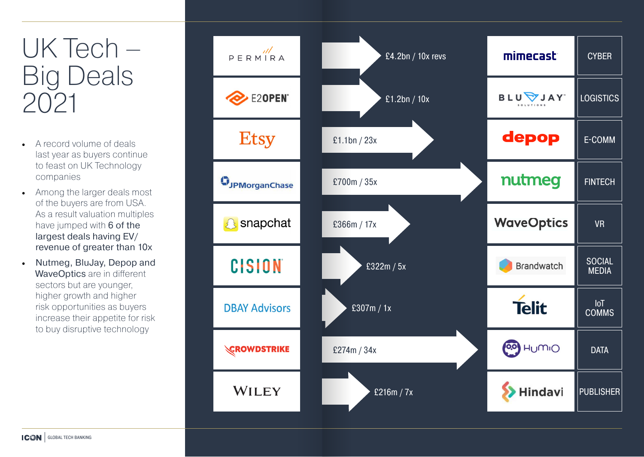### UK Tech – Big Deals 2021

- A record volume of deals last year as buyers continue to feast on UK Technology companies
- Among the larger deals most of the buyers are from USA. As a result valuation multiples have jumped with 6 of the largest deals having EV/ revenue of greater than 10x
- Nutmeg, BluJay, Depop and WaveOptics are in different sectors but are younger, higher growth and higher risk opportunities as buyers increase their appetite for risk to buy disruptive technology

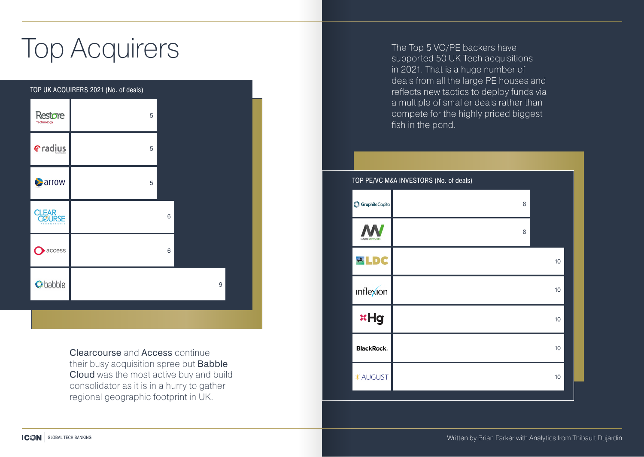# Top Acquirers



Clearcourse and Access continue their busy acquisition spree but Babble Cloud was the most active buy and build consolidator as it is in a hurry to gather regional geographic footprint in UK.

The Top 5 VC/PE backers have supported 50 UK Tech acquisitions in 2021. That is a huge number of deals from all the large PE houses and reflects new tactics to deploy funds via a multiple of smaller deals rather than compete for the highly priced biggest fish in the pond.

TOP PE/VC M&A INVESTORS (No. of deals)